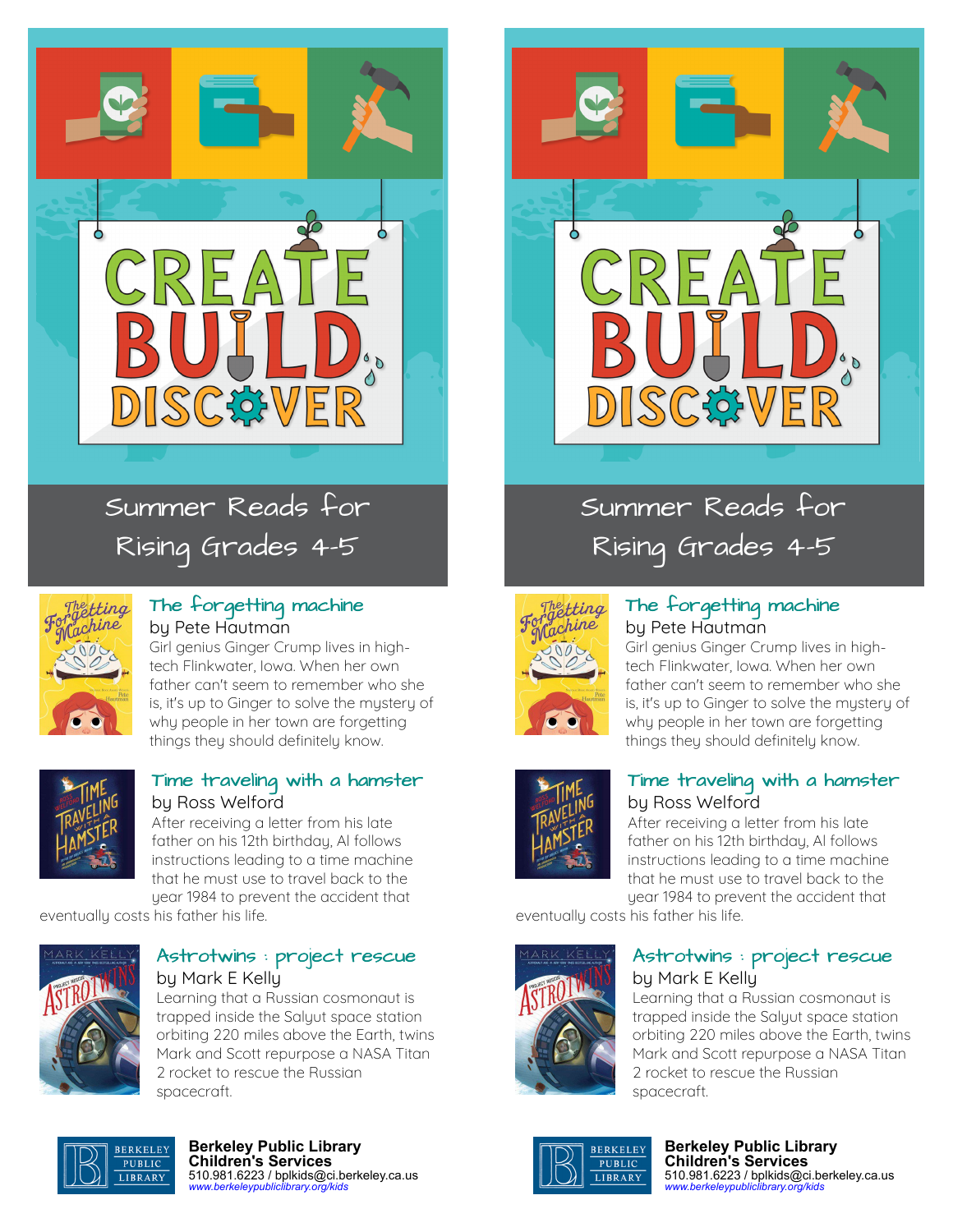

# Summer Reads for Rising Grades 4-5



### [The forgetting machine](https://libraryaware.com/1YJ7MV) by Pete Hautman

Girl genius Ginger Crump lives in hightech Flinkwater, Iowa. When her own father can't seem to remember who she is, it's up to Ginger to solve the mystery of why people in her town are forgetting things they should definitely know.



### [Time traveling with a hamster](https://libraryaware.com/1YJ7MW) by Ross Welford

After receiving a letter from his late father on his 12th birthday, Al follows instructions leading to a time machine that he must use to travel back to the year 1984 to prevent the accident that

eventually costs his father his life.



### [Astrotwins : project rescue](https://libraryaware.com/1YJ7MX) by Mark E Kelly

Learning that a Russian cosmonaut is trapped inside the Salyut space station orbiting 220 miles above the Earth, twins Mark and Scott repurpose a NASA Titan 2 rocket to rescue the Russian spacecraft.



Summer Reads for Rising Grades 4-5



### [The forgetting machine](https://libraryaware.com/1YJ7MV) by Pete Hautman

Girl genius Ginger Crump lives in hightech Flinkwater, Iowa. When her own father can't seem to remember who she is, it's up to Ginger to solve the mystery of why people in her town are forgetting things they should definitely know.



### [Time traveling with a hamster](https://libraryaware.com/1YJ7MW) by Ross Welford

After receiving a letter from his late father on his 12th birthday, Al follows instructions leading to a time machine that he must use to travel back to the year 1984 to prevent the accident that

eventually costs his father his life.



### [Astrotwins : project rescue](https://libraryaware.com/1YJ7MX) by Mark E Kelly

Learning that a Russian cosmonaut is trapped inside the Salyut space station orbiting 220 miles above the Earth, twins Mark and Scott repurpose a NASA Titan 2 rocket to rescue the Russian spacecraft.



#### **Berkeley Public Library Children's Services** 510.981.6223 / bplkids@ci.berkeley.ca.us *[www.berkeleypubliclibrary.org/kids](https://libraryaware.com/1YJ7MY)*



**Berkeley Public Library Children's Services** 510.981.6223 / bplkids@ci.berkeley.ca.us *[www.berkeleypubliclibrary.org/kids](https://libraryaware.com/1YJ7MY)*